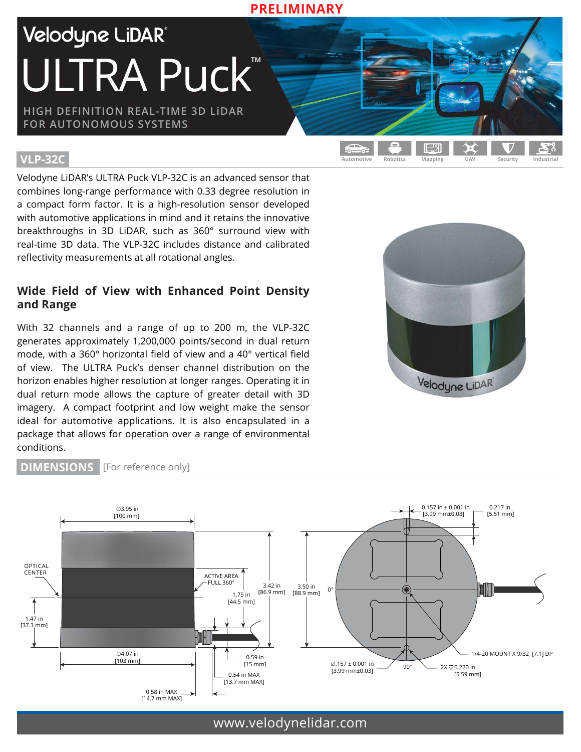Velodyne LiDAR® ULTRA Puck<sup>TM</sup>

**HIGH DEFINITION REAL-TIME 3D LiDAR FOR AUTONOMOUS SYSTEMS**

### **VLP-32C**

Velodyne LiDAR's ULTRA Puck VLP-32C is an advanced sensor that combines long-range performance with 0.33 degree resolution in a compact form factor. It is a high-resolution sensor developed with automotive applications in mind and it retains the innovative breakthroughs in 3D LiDAR, such as 360° surround view with real-time 3D data. The VLP-32C includes distance and calibrated reflectivity measurements at all rotational angles.

# **Wide Field of View with Enhanced Point Density and Range**

With 32 channels and a range of up to 200 m, the VLP-32C generates approximately 1,200,000 points/second in dual return mode, with a 360° horizontal field of view and a 40° vertical field of view. The ULTRA Puck's denser channel distribution on the horizon enables higher resolution at longer ranges. Operating it in dual return mode allows the capture of greater detail with 3D imagery. A compact footprint and low weight make the sensor ideal for automotive applications. It is also encapsulated in a package that allows for operation over a range of environmental conditions.



**Automotive Robotics Mapping UAV Security Industrial**

日出り



**PRELIMINARY**

#### **DIMENSIONS** [For reference only]

www.velodynelidar.com